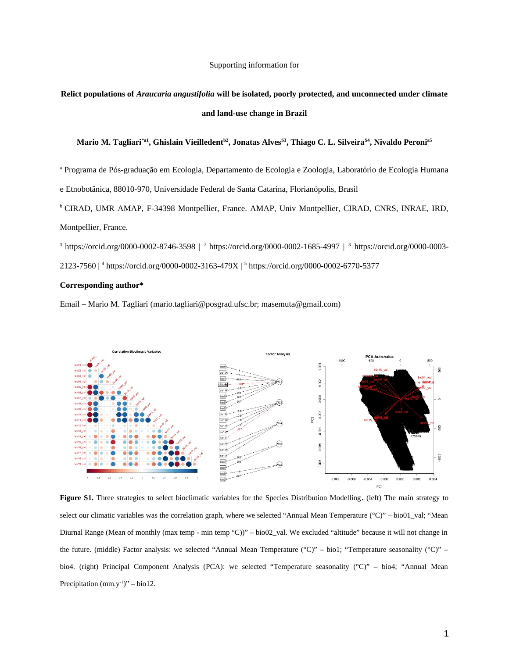Supporting information for

## **Relict populations of** *Araucaria angustifolia* **will be isolated, poorly protected, and unconnected under climate and land-use change in Brazil**

## **Mario M. Tagliari\*a1, Ghislain Vieilledentb2, Jonatas AlvesS3, Thiago C. L. SilveiraS4, Nivaldo Peronia5**

a Programa de Pós-graduação em Ecologia, Departamento de Ecologia e Zoologia, Laboratório de Ecologia Humana

e Etnobotânica, 88010-970, Universidade Federal de Santa Catarina, Florianópolis, Brasil

<sup>b</sup> CIRAD, UMR AMAP, F-34398 Montpellier, France. AMAP, Univ Montpellier, CIRAD, CNRS, INRAE, IRD, Montpellier, France.

**<sup>1</sup>**https://orcid.org/0000-0002-8746-3598 | <sup>2</sup>https://orcid.org/0000-0002-1685-4997 | <sup>3</sup> https://orcid.org/0000-0003- 2123-7560 | <sup>4</sup> https://orcid.org/0000-0002-3163-479X | <sup>5</sup> https://orcid.org/0000-0002-6770-5377

## **Corresponding author\***

Email – Mario M. Tagliari (mario.tagliari@posgrad.ufsc.br; masemuta@gmail.com)



**Figure S1.** Three strategies to select bioclimatic variables for the Species Distribution Modelling**.** (left) The main strategy to select our climatic variables was the correlation graph, where we selected "Annual Mean Temperature (°C)" – bio01\_val; "Mean Diurnal Range (Mean of monthly (max temp - min temp °C))" – bio02\_val. We excluded "altitude" because it will not change in the future. (middle) Factor analysis: we selected "Annual Mean Temperature (°C)" – bio1; "Temperature seasonality (°C)" – bio4. (right) Principal Component Analysis (PCA): we selected "Temperature seasonality (°C)" – bio4; "Annual Mean Precipitation  $(mm.y^{-1})'' - bio12$ .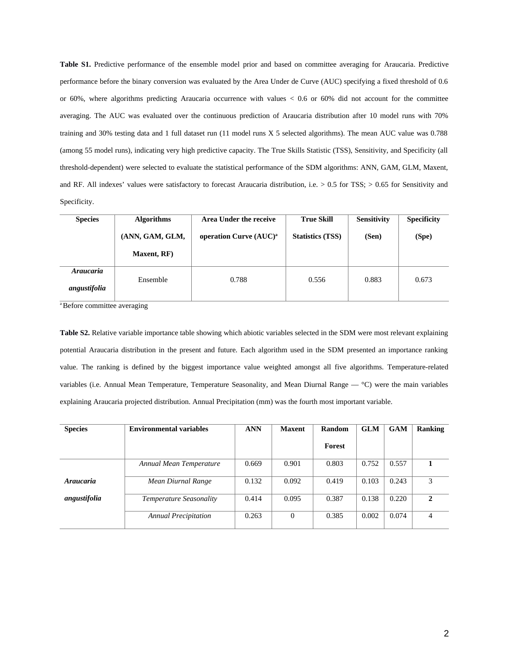**Table S1.** Predictive performance of the ensemble model prior and based on committee averaging for Araucaria. Predictive performance before the binary conversion was evaluated by the Area Under de Curve (AUC) specifying a fixed threshold of 0.6 or 60%, where algorithms predicting Araucaria occurrence with values < 0.6 or 60% did not account for the committee averaging. The AUC was evaluated over the continuous prediction of Araucaria distribution after 10 model runs with 70% training and 30% testing data and 1 full dataset run (11 model runs X 5 selected algorithms). The mean AUC value was 0.788 (among 55 model runs), indicating very high predictive capacity. The True Skills Statistic (TSS), Sensitivity, and Specificity (all threshold-dependent) were selected to evaluate the statistical performance of the SDM algorithms: ANN, GAM, GLM, Maxent, and RF. All indexes' values were satisfactory to forecast Araucaria distribution, i.e.  $> 0.5$  for TSS;  $> 0.65$  for Sensitivity and Specificity.

| <b>Species</b>            | <b>Algorithms</b> | Area Under the receive             | <b>True Skill</b>       | <b>Sensitivity</b> | <b>Specificity</b> |  |
|---------------------------|-------------------|------------------------------------|-------------------------|--------------------|--------------------|--|
|                           | (ANN, GAM, GLM,   | operation Curve (AUC) <sup>a</sup> | <b>Statistics (TSS)</b> | (Sen)              | (Spe)              |  |
|                           | Maxent, RF)       |                                    |                         |                    |                    |  |
| Araucaria<br>angustifolia | Ensemble          | 0.788                              | 0.556                   | 0.883              | 0.673              |  |

<sup>a</sup> Before committee averaging

**Table S2.** Relative variable importance table showing which abiotic variables selected in the SDM were most relevant explaining potential Araucaria distribution in the present and future. Each algorithm used in the SDM presented an importance ranking value. The ranking is defined by the biggest importance value weighted amongst all five algorithms. Temperature-related variables (i.e. Annual Mean Temperature, Temperature Seasonality, and Mean Diurnal Range — °C) were the main variables explaining Araucaria projected distribution. Annual Precipitation (mm) was the fourth most important variable.

| <b>Species</b> | <b>Environmental variables</b> | <b>ANN</b> | Maxent   | Random | <b>GLM</b> | <b>GAM</b> | <b>Ranking</b> |
|----------------|--------------------------------|------------|----------|--------|------------|------------|----------------|
|                |                                |            |          | Forest |            |            |                |
|                | Annual Mean Temperature        | 0.669      | 0.901    | 0.803  | 0.752      | 0.557      |                |
| Araucaria      | Mean Diurnal Range             | 0.132      | 0.092    | 0.419  | 0.103      | 0.243      | 3              |
| angustifolia   | <b>Temperature Seasonality</b> | 0.414      | 0.095    | 0.387  | 0.138      | 0.220      | $\overline{2}$ |
|                | <b>Annual Precipitation</b>    | 0.263      | $\theta$ | 0.385  | 0.002      | 0.074      | 4              |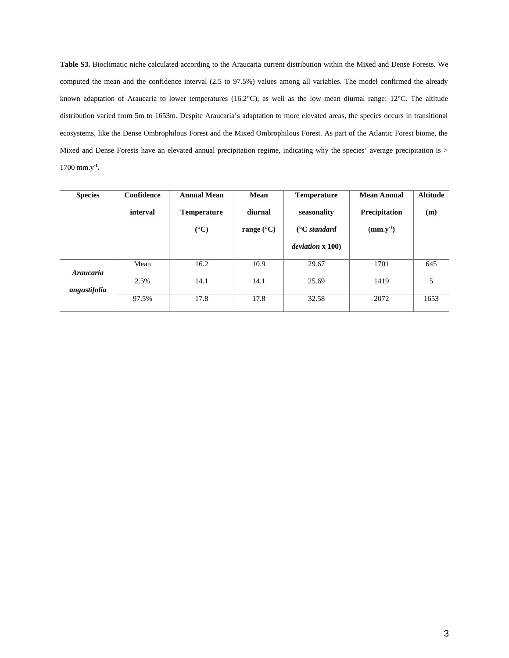**Table S3.** Bioclimatic niche calculated according to the Araucaria current distribution within the Mixed and Dense Forests. We computed the mean and the confidence interval (2.5 to 97.5%) values among all variables. The model confirmed the already known adaptation of Araucaria to lower temperatures (16.2°C), as well as the low mean diurnal range: 12°C. The altitude distribution varied from 5m to 1653m. Despite Araucaria's adaptation to more elevated areas, the species occurs in transitional ecosystems, like the Dense Ombrophilous Forest and the Mixed Ombrophilous Forest. As part of the Atlantic Forest biome, the Mixed and Dense Forests have an elevated annual precipitation regime, indicating why the species' average precipitation is > 1700 mm.y**-1 .** 

| <b>Species</b>   | Confidence | <b>Annual Mean</b> | Mean                | <b>Temperature</b>          | <b>Mean Annual</b> | <b>Altitude</b> |
|------------------|------------|--------------------|---------------------|-----------------------------|--------------------|-----------------|
|                  | interval   | <b>Temperature</b> |                     | seasonality                 | Precipitation      | (m)             |
|                  |            | $(^{\circ}C)$      | range $(^{\circ}C)$ | $(^\circ \text{C}$ standard | $(mm.y^{-1})$      |                 |
|                  |            |                    |                     | deviation x 100)            |                    |                 |
| <b>Araucaria</b> | Mean       | 16.2               | 10.9                | 29.67                       | 1701               | 645             |
| angustifolia     | 2.5%       | 14.1               | 14.1                | 25.69                       | 1419               | 5               |
|                  | 97.5%      | 17.8               | 17.8                | 32.58                       | 2072               | 1653            |